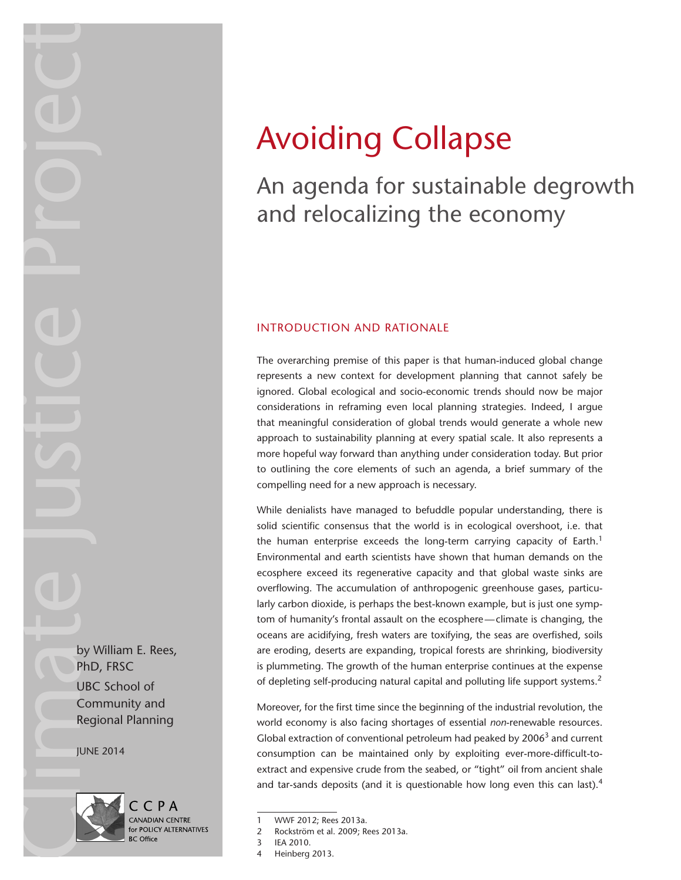# Avoiding Collapse

# An agenda for sustainable degrowth and relocalizing the economy

# INTRODUCTION AND RATIONALE

The overarching premise of this paper is that human-induced global change represents a new context for development planning that cannot safely be ignored. Global ecological and socio-economic trends should now be major considerations in reframing even local planning strategies. Indeed, I argue that meaningful consideration of global trends would generate a whole new approach to sustainability planning at every spatial scale. It also represents a more hopeful way forward than anything under consideration today. But prior to outlining the core elements of such an agenda, a brief summary of the compelling need for a new approach is necessary.

While denialists have managed to befuddle popular understanding, there is solid scientific consensus that the world is in ecological overshoot, i.e. that the human enterprise exceeds the long-term carrying capacity of Earth.<sup>1</sup> Environmental and earth scientists have shown that human demands on the ecosphere exceed its regenerative capacity and that global waste sinks are overflowing. The accumulation of anthropogenic greenhouse gases, particularly carbon dioxide, is perhaps the best-known example, but is just one symptom of humanity's frontal assault on the ecosphere—climate is changing, the oceans are acidifying, fresh waters are toxifying, the seas are overfished, soils are eroding, deserts are expanding, tropical forests are shrinking, biodiversity is plummeting. The growth of the human enterprise continues at the expense of depleting self-producing natural capital and polluting life support systems.<sup>2</sup>

Moreover, for the first time since the beginning of the industrial revolution, the world economy is also facing shortages of essential *non*-renewable resources. Global extraction of conventional petroleum had peaked by  $2006<sup>3</sup>$  and current consumption can be maintained only by exploiting ever-more-difficult-toextract and expensive crude from the seabed, or "tight" oil from ancient shale and tar-sands deposits (and it is questionable how long even this can last).<sup>4</sup>

2 Rockström et al. 2009; Rees 2013a.





<sup>1</sup> WWF 2012; Rees 2013a.

<sup>3</sup> IEA 2010.

Heinberg 2013.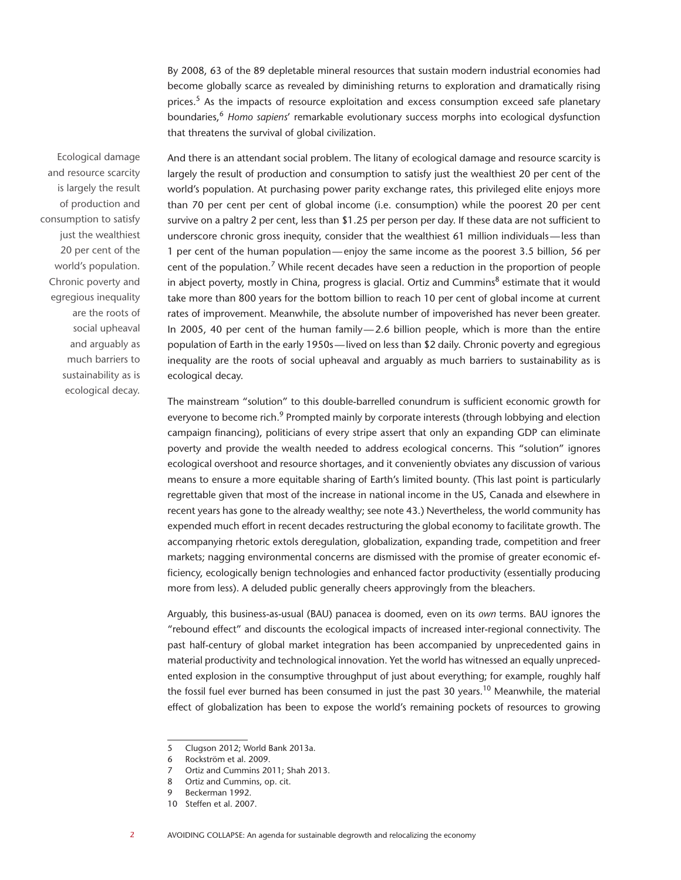By 2008, 63 of the 89 depletable mineral resources that sustain modern industrial economies had become globally scarce as revealed by diminishing returns to exploration and dramatically rising prices.5 As the impacts of resource exploitation and excess consumption exceed safe planetary boundaries,6 *Homo sapiens*' remarkable evolutionary success morphs into ecological dysfunction that threatens the survival of global civilization.

Ecological damage and resource scarcity is largely the result of production and consumption to satisfy just the wealthiest 20 per cent of the world's population. Chronic poverty and egregious inequality are the roots of social upheaval and arguably as much barriers to sustainability as is ecological decay.

And there is an attendant social problem. The litany of ecological damage and resource scarcity is largely the result of production and consumption to satisfy just the wealthiest 20 per cent of the world's population. At purchasing power parity exchange rates, this privileged elite enjoys more than 70 per cent per cent of global income (i.e. consumption) while the poorest 20 per cent survive on a paltry 2 per cent, less than \$1.25 per person per day. If these data are not sufficient to underscore chronic gross inequity, consider that the wealthiest 61 million individuals—less than 1 per cent of the human population—enjoy the same income as the poorest 3.5 billion, 56 per cent of the population.<sup>7</sup> While recent decades have seen a reduction in the proportion of people in abject poverty, mostly in China, progress is glacial. Ortiz and Cummins $^8$  estimate that it would take more than 800 years for the bottom billion to reach 10 per cent of global income at current rates of improvement. Meanwhile, the absolute number of impoverished has never been greater. In 2005, 40 per cent of the human family—2.6 billion people, which is more than the entire population of Earth in the early 1950s—lived on less than \$2 daily. Chronic poverty and egregious inequality are the roots of social upheaval and arguably as much barriers to sustainability as is ecological decay.

The mainstream "solution" to this double-barrelled conundrum is sufficient economic growth for everyone to become rich.<sup>9</sup> Prompted mainly by corporate interests (through lobbying and election campaign financing), politicians of every stripe assert that only an expanding GDP can eliminate poverty and provide the wealth needed to address ecological concerns. This "solution" ignores ecological overshoot and resource shortages, and it conveniently obviates any discussion of various means to ensure a more equitable sharing of Earth's limited bounty. (This last point is particularly regrettable given that most of the increase in national income in the US, Canada and elsewhere in recent years has gone to the already wealthy; see note 43.) Nevertheless, the world community has expended much effort in recent decades restructuring the global economy to facilitate growth. The accompanying rhetoric extols deregulation, globalization, expanding trade, competition and freer markets; nagging environmental concerns are dismissed with the promise of greater economic efficiency, ecologically benign technologies and enhanced factor productivity (essentially producing more from less). A deluded public generally cheers approvingly from the bleachers.

Arguably, this business-as-usual (BAU) panacea is doomed, even on its *own* terms. BAU ignores the "rebound effect" and discounts the ecological impacts of increased inter-regional connectivity. The past half-century of global market integration has been accompanied by unprecedented gains in material productivity and technological innovation. Yet the world has witnessed an equally unprecedented explosion in the consumptive throughput of just about everything; for example, roughly half the fossil fuel ever burned has been consumed in just the past 30 years.<sup>10</sup> Meanwhile, the material effect of globalization has been to expose the world's remaining pockets of resources to growing

<sup>5</sup> Clugson 2012; World Bank 2013a.

<sup>6</sup> Rockström et al. 2009.

<sup>7</sup> Ortiz and Cummins 2011; Shah 2013.

<sup>8</sup> Ortiz and Cummins, op. cit.

<sup>9</sup> Beckerman 1992.

<sup>10</sup> Steffen et al. 2007.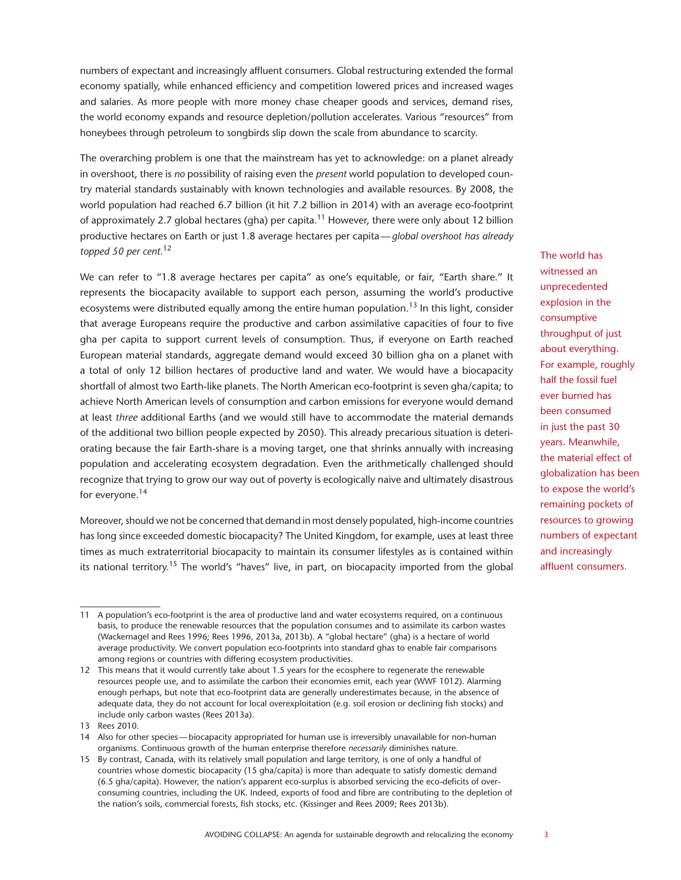numbers of expectant and increasingly affluent consumers. Global restructuring extended the formal economy spatially, while enhanced efficiency and competition lowered prices and increased wages and salaries. As more people with more money chase cheaper goods and services, demand rises, the world economy expands and resource depletion/pollution accelerates. Various "resources" from honeybees through petroleum to songbirds slip down the scale from abundance to scarcity.

The overarching problem is one that the mainstream has yet to acknowledge: on a planet already in overshoot, there is *no* possibility of raising even the *present* world population to developed country material standards sustainably with known technologies and available resources. By 2008, the world population had reached 6.7 billion (it hit 7.2 billion in 2014) with an average eco-footprint of approximately 2.7 global hectares (gha) per capita.<sup>11</sup> However, there were only about 12 billion productive hectares on Earth or just 1.8 average hectares per capita—*global overshoot has already topped 50 per cent.*<sup>12</sup>

We can refer to "1.8 average hectares per capita" as one's equitable, or fair, "Earth share." It represents the biocapacity available to support each person, assuming the world's productive ecosystems were distributed equally among the entire human population.<sup>13</sup> In this light, consider that average Europeans require the productive and carbon assimilative capacities of four to five gha per capita to support current levels of consumption. Thus, if everyone on Earth reached European material standards, aggregate demand would exceed 30 billion gha on a planet with a total of only 12 billion hectares of productive land and water. We would have a biocapacity shortfall of almost two Earth-like planets. The North American eco-footprint is seven gha/capita; to achieve North American levels of consumption and carbon emissions for everyone would demand at least *three* additional Earths (and we would still have to accommodate the material demands of the additional two billion people expected by 2050). This already precarious situation is deteriorating because the fair Earth-share is a moving target, one that shrinks annually with increasing population and accelerating ecosystem degradation. Even the arithmetically challenged should recognize that trying to grow our way out of poverty is ecologically naive and ultimately disastrous for everyone.<sup>14</sup>

Moreover, should we not be concerned that demand in most densely populated, high-income countries has long since exceeded domestic biocapacity? The United Kingdom, for example, uses at least three times as much extraterritorial biocapacity to maintain its consumer lifestyles as is contained within its national territory.<sup>15</sup> The world's "haves" live, in part, on biocapacity imported from the global

The world has witnessed an unprecedented explosion in the consumptive throughput of just about everything. For example, roughly half the fossil fuel ever burned has been consumed in just the past 30 years. Meanwhile, the material effect of globalization has been to expose the world's remaining pockets of resources to growing numbers of expectant and increasingly affluent consumers.

<sup>11</sup> A population's eco-footprint is the area of productive land and water ecosystems required, on a continuous basis, to produce the renewable resources that the population consumes and to assimilate its carbon wastes (Wackernagel and Rees 1996; Rees 1996, 2013a, 2013b). A "global hectare" (gha) is a hectare of world average productivity. We convert population eco-footprints into standard ghas to enable fair comparisons among regions or countries with differing ecosystem productivities.

<sup>12</sup> This means that it would currently take about 1.5 years for the ecosphere to regenerate the renewable resources people use, and to assimilate the carbon their economies emit, each year (WWF 1012). Alarming enough perhaps, but note that eco-footprint data are generally underestimates because, in the absence of adequate data, they do not account for local overexploitation (e.g. soil erosion or declining fish stocks) and include only carbon wastes (Rees 2013a).

<sup>13</sup> Rees 2010.

<sup>14</sup> Also for other species—biocapacity appropriated for human use is irreversibly unavailable for non-human organisms. Continuous growth of the human enterprise therefore *necessarily* diminishes nature.

<sup>15</sup> By contrast, Canada, with its relatively small population and large territory, is one of only a handful of countries whose domestic biocapacity (15 gha/capita) is more than adequate to satisfy domestic demand (6.5 gha/capita). However, the nation's apparent eco-surplus is absorbed servicing the eco-deficits of overconsuming countries, including the UK. Indeed, exports of food and fibre are contributing to the depletion of the nation's soils, commercial forests, fish stocks, etc. (Kissinger and Rees 2009; Rees 2013b).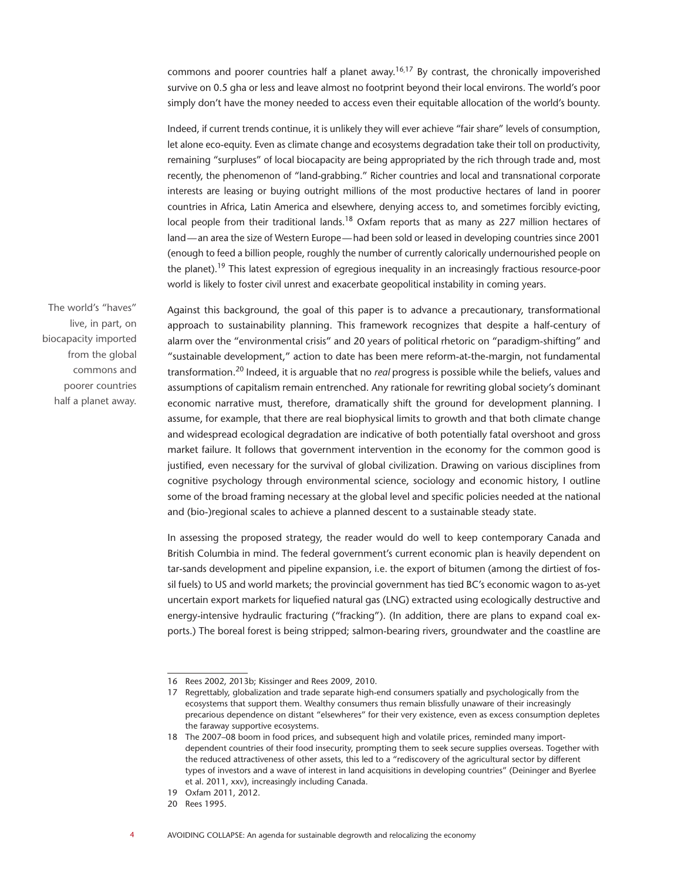commons and poorer countries half a planet away.<sup>16,17</sup> By contrast, the chronically impoverished survive on 0.5 gha or less and leave almost no footprint beyond their local environs. The world's poor simply don't have the money needed to access even their equitable allocation of the world's bounty.

Indeed, if current trends continue, it is unlikely they will ever achieve "fair share" levels of consumption, let alone eco-equity. Even as climate change and ecosystems degradation take their toll on productivity, remaining "surpluses" of local biocapacity are being appropriated by the rich through trade and, most recently, the phenomenon of "land-grabbing." Richer countries and local and transnational corporate interests are leasing or buying outright millions of the most productive hectares of land in poorer countries in Africa, Latin America and elsewhere, denying access to, and sometimes forcibly evicting, local people from their traditional lands.<sup>18</sup> Oxfam reports that as many as 227 million hectares of land—an area the size of Western Europe—had been sold or leased in developing countries since 2001 (enough to feed a billion people, roughly the number of currently calorically undernourished people on the planet).19 This latest expression of egregious inequality in an increasingly fractious resource-poor world is likely to foster civil unrest and exacerbate geopolitical instability in coming years.

The world's "haves" live, in part, on biocapacity imported from the global commons and poorer countries half a planet away.

Against this background, the goal of this paper is to advance a precautionary, transformational approach to sustainability planning. This framework recognizes that despite a half-century of alarm over the "environmental crisis" and 20 years of political rhetoric on "paradigm-shifting" and "sustainable development," action to date has been mere reform-at-the-margin, not fundamental transformation.20 Indeed, it is arguable that no *real* progress is possible while the beliefs, values and assumptions of capitalism remain entrenched. Any rationale for rewriting global society's dominant economic narrative must, therefore, dramatically shift the ground for development planning. I assume, for example, that there are real biophysical limits to growth and that both climate change and widespread ecological degradation are indicative of both potentially fatal overshoot and gross market failure. It follows that government intervention in the economy for the common good is justified, even necessary for the survival of global civilization. Drawing on various disciplines from cognitive psychology through environmental science, sociology and economic history, I outline some of the broad framing necessary at the global level and specific policies needed at the national and (bio-)regional scales to achieve a planned descent to a sustainable steady state.

In assessing the proposed strategy, the reader would do well to keep contemporary Canada and British Columbia in mind. The federal government's current economic plan is heavily dependent on tar-sands development and pipeline expansion, i.e. the export of bitumen (among the dirtiest of fossil fuels) to US and world markets; the provincial government has tied BC's economic wagon to as-yet uncertain export markets for liquefied natural gas (LNG) extracted using ecologically destructive and energy-intensive hydraulic fracturing ("fracking"). (In addition, there are plans to expand coal exports.) The boreal forest is being stripped; salmon-bearing rivers, groundwater and the coastline are

<sup>16</sup> Rees 2002, 2013b; Kissinger and Rees 2009, 2010.

<sup>17</sup> Regrettably, globalization and trade separate high-end consumers spatially and psychologically from the ecosystems that support them. Wealthy consumers thus remain blissfully unaware of their increasingly precarious dependence on distant "elsewheres" for their very existence, even as excess consumption depletes the faraway supportive ecosystems.

<sup>18</sup> The 2007–08 boom in food prices, and subsequent high and volatile prices, reminded many importdependent countries of their food insecurity, prompting them to seek secure supplies overseas. Together with the reduced attractiveness of other assets, this led to a "rediscovery of the agricultural sector by different types of investors and a wave of interest in land acquisitions in developing countries" (Deininger and Byerlee et al. 2011, xxv), increasingly including Canada.

<sup>19</sup> Oxfam 2011, 2012.

<sup>20</sup> Rees 1995.

<sup>4</sup> AVOIDING COLLAPSE: An agenda for sustainable degrowth and relocalizing the economy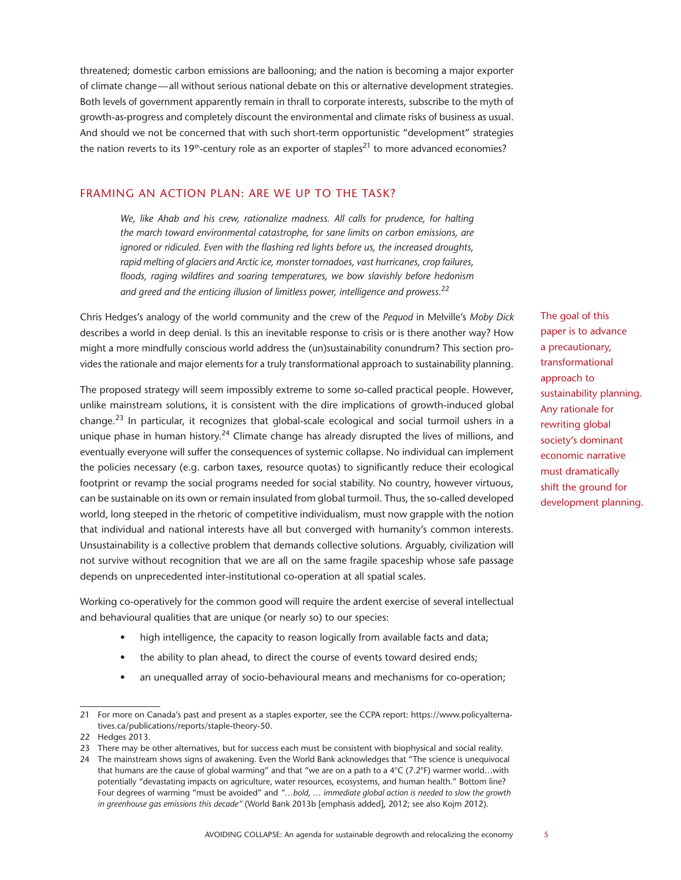threatened; domestic carbon emissions are ballooning; and the nation is becoming a major exporter of climate change—all without serious national debate on this or alternative development strategies. Both levels of government apparently remain in thrall to corporate interests, subscribe to the myth of growth-as-progress and completely discount the environmental and climate risks of business as usual. And should we not be concerned that with such short-term opportunistic "development" strategies the nation reverts to its 19<sup>th</sup>-century role as an exporter of staples<sup>21</sup> to more advanced economies?

## FRAMING AN ACTION PLAN: ARE WE UP TO THE TASK?

*We, like Ahab and his crew, rationalize madness. All calls for prudence, for halting the march toward environmental catastrophe, for sane limits on carbon emissions, are ignored or ridiculed. Even with the flashing red lights before us, the increased droughts, rapid melting of glaciers and Arctic ice, monster tornadoes, vast hurricanes, crop failures, floods, raging wildfires and soaring temperatures, we bow slavishly before hedonism and greed and the enticing illusion of limitless power, intelligence and prowess.*<sup>22</sup>

Chris Hedges's analogy of the world community and the crew of the *Pequod* in Melville's *Moby Dick*  describes a world in deep denial. Is this an inevitable response to crisis or is there another way? How might a more mindfully conscious world address the (un)sustainability conundrum? This section provides the rationale and major elements for a truly transformational approach to sustainability planning.

The proposed strategy will seem impossibly extreme to some so-called practical people. However, unlike mainstream solutions, it is consistent with the dire implications of growth-induced global change.23 In particular, it recognizes that global-scale ecological and social turmoil ushers in a unique phase in human history.<sup>24</sup> Climate change has already disrupted the lives of millions, and eventually everyone will suffer the consequences of systemic collapse. No individual can implement the policies necessary (e.g. carbon taxes, resource quotas) to significantly reduce their ecological footprint or revamp the social programs needed for social stability. No country, however virtuous, can be sustainable on its own or remain insulated from global turmoil. Thus, the so-called developed world, long steeped in the rhetoric of competitive individualism, must now grapple with the notion that individual and national interests have all but converged with humanity's common interests. Unsustainability is a collective problem that demands collective solutions. Arguably, civilization will not survive without recognition that we are all on the same fragile spaceship whose safe passage depends on unprecedented inter-institutional co-operation at all spatial scales.

Working co-operatively for the common good will require the ardent exercise of several intellectual and behavioural qualities that are unique (or nearly so) to our species:

- high intelligence, the capacity to reason logically from available facts and data;
- the ability to plan ahead, to direct the course of events toward desired ends;
- an unequalled array of socio-behavioural means and mechanisms for co-operation;

The goal of this paper is to advance a precautionary, transformational approach to sustainability planning. Any rationale for rewriting global society's dominant economic narrative must dramatically shift the ground for development planning.

<sup>21</sup> For more on Canada's past and present as a staples exporter, see the CCPA report: https://www.policyalternatives.ca/publications/reports/staple-theory-50.

<sup>22</sup> Hedges 2013.

<sup>23</sup> There may be other alternatives, but for success each must be consistent with biophysical and social reality.

<sup>24</sup> The mainstream shows signs of awakening. Even the World Bank acknowledges that "The science is unequivocal that humans are the cause of global warming" and that "we are on a path to a 4°C (7.2°F) warmer world…with potentially "devastating impacts on agriculture, water resources, ecosystems, and human health." Bottom line? Four degrees of warming "must be avoided" and *"…bold, … immediate global action is needed to slow the growth in greenhouse gas emissions this decade"* (World Bank 2013b [emphasis added], 2012; see also Kojm 2012).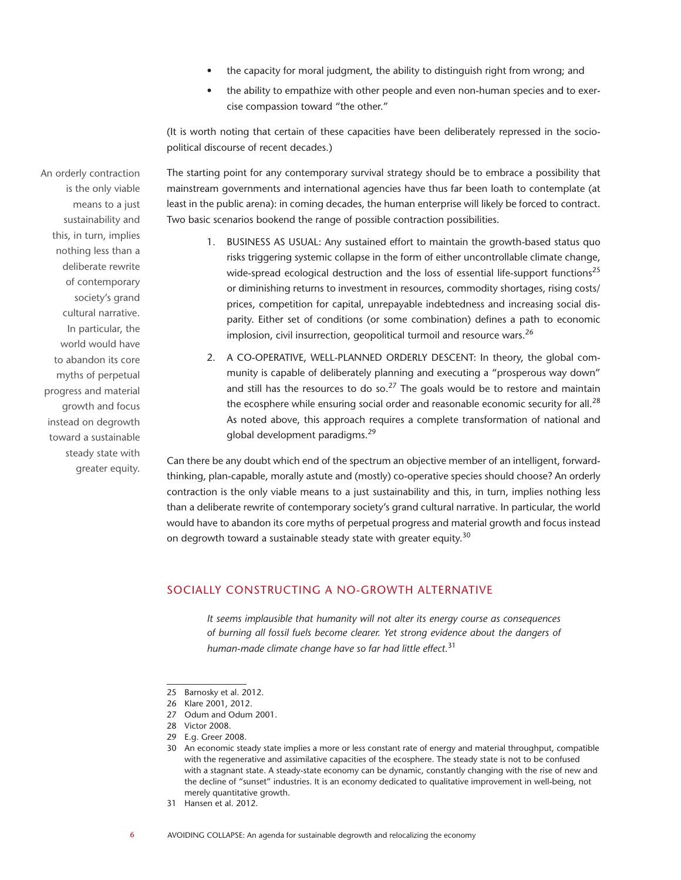- the capacity for moral judgment, the ability to distinguish right from wrong; and
- the ability to empathize with other people and even non-human species and to exercise compassion toward "the other."

(It is worth noting that certain of these capacities have been deliberately repressed in the sociopolitical discourse of recent decades.)

The starting point for any contemporary survival strategy should be to embrace a possibility that mainstream governments and international agencies have thus far been loath to contemplate (at least in the public arena): in coming decades, the human enterprise will likely be forced to contract. Two basic scenarios bookend the range of possible contraction possibilities.

- 1. BUSINESS AS USUAL: Any sustained effort to maintain the growth-based status quo risks triggering systemic collapse in the form of either uncontrollable climate change, wide-spread ecological destruction and the loss of essential life-support functions<sup>25</sup> or diminishing returns to investment in resources, commodity shortages, rising costs/ prices, competition for capital, unrepayable indebtedness and increasing social disparity. Either set of conditions (or some combination) defines a path to economic implosion, civil insurrection, geopolitical turmoil and resource wars.<sup>26</sup>
- 2. A CO-OPERATIVE, WELL-PLANNED ORDERLY DESCENT: In theory, the global community is capable of deliberately planning and executing a "prosperous way down" and still has the resources to do so.<sup>27</sup> The goals would be to restore and maintain the ecosphere while ensuring social order and reasonable economic security for all.<sup>28</sup> As noted above, this approach requires a complete transformation of national and global development paradigms.<sup>29</sup>

Can there be any doubt which end of the spectrum an objective member of an intelligent, forwardthinking, plan-capable, morally astute and (mostly) co-operative species should choose? An orderly contraction is the only viable means to a just sustainability and this, in turn, implies nothing less than a deliberate rewrite of contemporary society's grand cultural narrative. In particular, the world would have to abandon its core myths of perpetual progress and material growth and focus instead on degrowth toward a sustainable steady state with greater equity.<sup>30</sup>

# SOCIALLY CONSTRUCTING A NO-GROWTH ALTERNATIVE

*It seems implausible that humanity will not alter its energy course as consequences of burning all fossil fuels become clearer. Yet strong evidence about the dangers of human-made climate change have so far had little effect.*<sup>31</sup>

An orderly contraction is the only viable means to a just sustainability and this, in turn, implies nothing less than a deliberate rewrite of contemporary society's grand cultural narrative. In particular, the world would have to abandon its core myths of perpetual progress and material growth and focus instead on degrowth toward a sustainable steady state with greater equity.

<sup>25</sup> Barnosky et al. 2012.

<sup>26</sup> Klare 2001, 2012.

<sup>27</sup> Odum and Odum 2001.

<sup>28</sup> Victor 2008.

<sup>29</sup> E.g. Greer 2008.

<sup>30</sup> An economic steady state implies a more or less constant rate of energy and material throughput, compatible with the regenerative and assimilative capacities of the ecosphere. The steady state is not to be confused with a stagnant state. A steady-state economy can be dynamic, constantly changing with the rise of new and the decline of "sunset" industries. It is an economy dedicated to qualitative improvement in well-being, not merely quantitative growth.

<sup>31</sup> Hansen et al. 2012.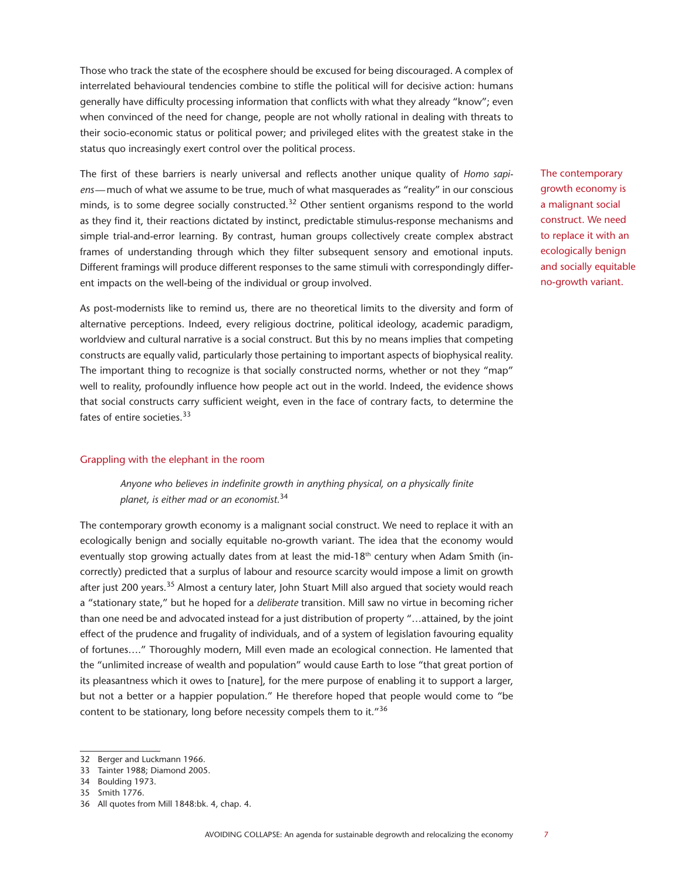Those who track the state of the ecosphere should be excused for being discouraged. A complex of interrelated behavioural tendencies combine to stifle the political will for decisive action: humans generally have difficulty processing information that conflicts with what they already "know"; even when convinced of the need for change, people are not wholly rational in dealing with threats to their socio-economic status or political power; and privileged elites with the greatest stake in the status quo increasingly exert control over the political process.

The first of these barriers is nearly universal and reflects another unique quality of *Homo sapiens*—much of what we assume to be true, much of what masquerades as "reality" in our conscious minds, is to some degree socially constructed.<sup>32</sup> Other sentient organisms respond to the world as they find it, their reactions dictated by instinct, predictable stimulus-response mechanisms and simple trial-and-error learning. By contrast, human groups collectively create complex abstract frames of understanding through which they filter subsequent sensory and emotional inputs. Different framings will produce different responses to the same stimuli with correspondingly different impacts on the well-being of the individual or group involved.

As post-modernists like to remind us, there are no theoretical limits to the diversity and form of alternative perceptions. Indeed, every religious doctrine, political ideology, academic paradigm, worldview and cultural narrative is a social construct. But this by no means implies that competing constructs are equally valid, particularly those pertaining to important aspects of biophysical reality. The important thing to recognize is that socially constructed norms, whether or not they "map" well to reality, profoundly influence how people act out in the world. Indeed, the evidence shows that social constructs carry sufficient weight, even in the face of contrary facts, to determine the fates of entire societies.<sup>33</sup>

#### Grappling with the elephant in the room

*Anyone who believes in indefinite growth in anything physical, on a physically finite planet, is either mad or an economist.*<sup>34</sup>

The contemporary growth economy is a malignant social construct. We need to replace it with an ecologically benign and socially equitable no-growth variant. The idea that the economy would eventually stop growing actually dates from at least the mid-18<sup>th</sup> century when Adam Smith (incorrectly) predicted that a surplus of labour and resource scarcity would impose a limit on growth after just 200 years.<sup>35</sup> Almost a century later, John Stuart Mill also argued that society would reach a "stationary state," but he hoped for a *deliberate* transition. Mill saw no virtue in becoming richer than one need be and advocated instead for a just distribution of property "…attained, by the joint effect of the prudence and frugality of individuals, and of a system of legislation favouring equality of fortunes…." Thoroughly modern, Mill even made an ecological connection. He lamented that the "unlimited increase of wealth and population" would cause Earth to lose "that great portion of its pleasantness which it owes to [nature], for the mere purpose of enabling it to support a larger, but not a better or a happier population." He therefore hoped that people would come to "be content to be stationary, long before necessity compels them to it."36

The contemporary growth economy is a malignant social construct. We need to replace it with an ecologically benign and socially equitable no-growth variant.

<sup>32</sup> Berger and Luckmann 1966.

<sup>33</sup> Tainter 1988; Diamond 2005.

<sup>34</sup> Boulding 1973.

<sup>35</sup> Smith 1776.

<sup>36</sup> All quotes from Mill 1848:bk. 4, chap. 4.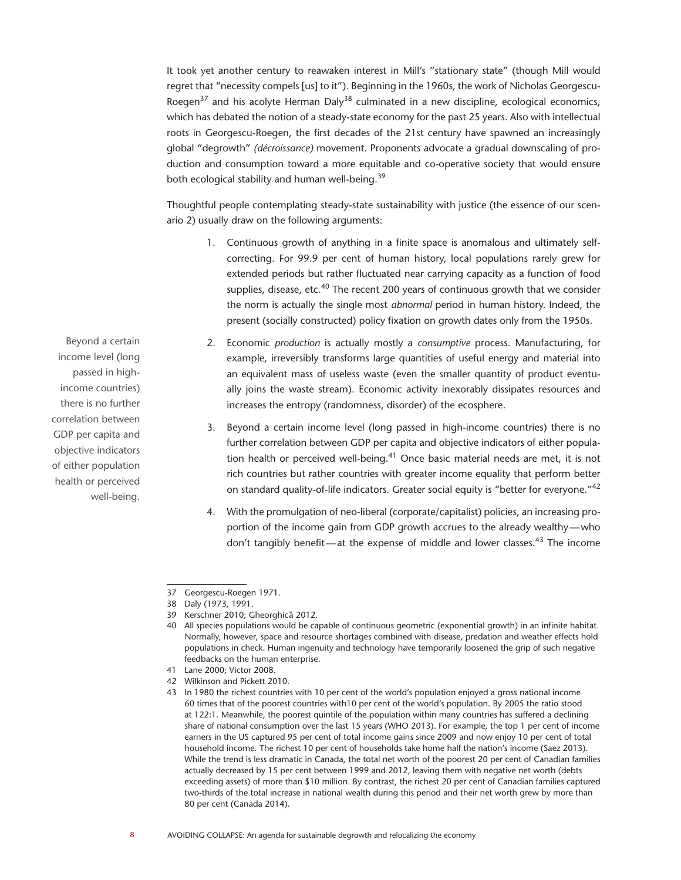It took yet another century to reawaken interest in Mill's "stationary state" (though Mill would regret that "necessity compels [us] to it"). Beginning in the 1960s, the work of Nicholas Georgescu-Roegen<sup>37</sup> and his acolyte Herman Daly<sup>38</sup> culminated in a new discipline, ecological economics, which has debated the notion of a steady-state economy for the past 25 years. Also with intellectual roots in Georgescu-Roegen, the first decades of the 21st century have spawned an increasingly global "degrowth" *(décroissance)* movement. Proponents advocate a gradual downscaling of production and consumption toward a more equitable and co-operative society that would ensure both ecological stability and human well-being.<sup>39</sup>

Thoughtful people contemplating steady-state sustainability with justice (the essence of our scenario 2) usually draw on the following arguments:

- 1. Continuous growth of anything in a finite space is anomalous and ultimately selfcorrecting. For 99.9 per cent of human history, local populations rarely grew for extended periods but rather fluctuated near carrying capacity as a function of food supplies, disease, etc.<sup>40</sup> The recent 200 years of continuous growth that we consider the norm is actually the single most *abnormal* period in human history. Indeed, the present (socially constructed) policy fixation on growth dates only from the 1950s.
- 2. Economic *production* is actually mostly a *consumptive* process. Manufacturing, for example, irreversibly transforms large quantities of useful energy and material into an equivalent mass of useless waste (even the smaller quantity of product eventually joins the waste stream). Economic activity inexorably dissipates resources and increases the entropy (randomness, disorder) of the ecosphere.
- 3. Beyond a certain income level (long passed in high-income countries) there is no further correlation between GDP per capita and objective indicators of either population health or perceived well-being. $41$  Once basic material needs are met, it is not rich countries but rather countries with greater income equality that perform better on standard quality-of-life indicators. Greater social equity is "better for everyone."<sup>42</sup>
- 4. With the promulgation of neo-liberal (corporate/capitalist) policies, an increasing proportion of the income gain from GDP growth accrues to the already wealthy—who don't tangibly benefit—at the expense of middle and lower classes.43 The income

- 41 Lane 2000; Victor 2008.
- 42 Wilkinson and Pickett 2010.

Beyond a certain income level (long passed in highincome countries) there is no further correlation between GDP per capita and objective indicators of either population health or perceived well-being.

<sup>37</sup> Georgescu-Roegen 1971.

<sup>38</sup> Daly (1973, 1991.

<sup>39</sup> Kerschner 2010; Gheorghică 2012.

<sup>40</sup> All species populations would be capable of continuous geometric (exponential growth) in an infinite habitat. Normally, however, space and resource shortages combined with disease, predation and weather effects hold populations in check. Human ingenuity and technology have temporarily loosened the grip of such negative feedbacks on the human enterprise.

<sup>43</sup> In 1980 the richest countries with 10 per cent of the world's population enjoyed a gross national income 60 times that of the poorest countries with10 per cent of the world's population. By 2005 the ratio stood at 122:1. Meanwhile, the poorest quintile of the population within many countries has suffered a declining share of national consumption over the last 15 years (WHO 2013). For example, the top 1 per cent of income earners in the US captured 95 per cent of total income gains since 2009 and now enjoy 10 per cent of total household income. The richest 10 per cent of households take home half the nation's income (Saez 2013). While the trend is less dramatic in Canada, the total net worth of the poorest 20 per cent of Canadian families actually decreased by 15 per cent between 1999 and 2012, leaving them with negative net worth (debts exceeding assets) of more than \$10 million. By contrast, the richest 20 per cent of Canadian families captured two-thirds of the total increase in national wealth during this period and their net worth grew by more than 80 per cent (Canada 2014).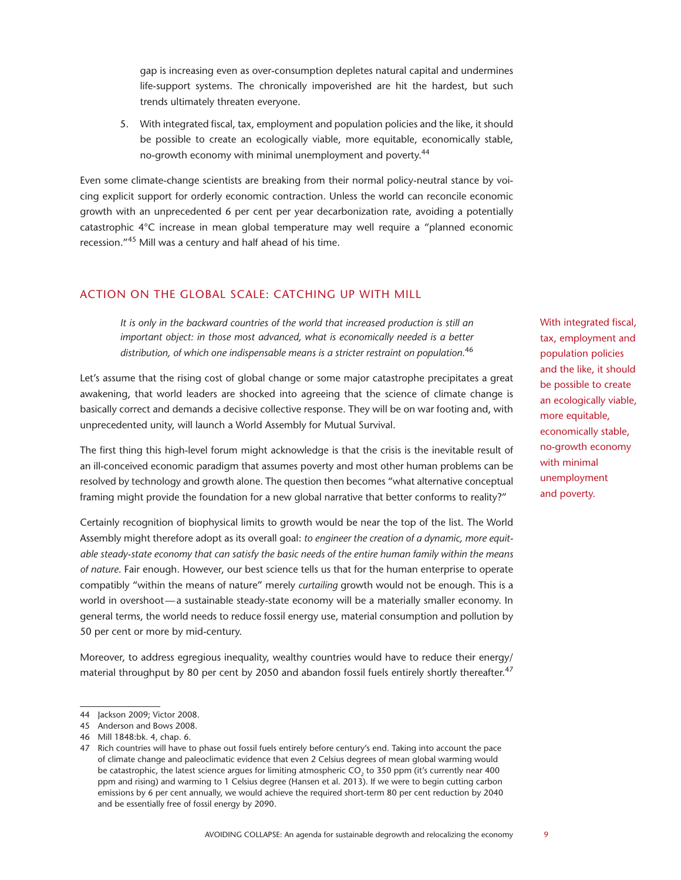gap is increasing even as over-consumption depletes natural capital and undermines life-support systems. The chronically impoverished are hit the hardest, but such trends ultimately threaten everyone.

5. With integrated fiscal, tax, employment and population policies and the like, it should be possible to create an ecologically viable, more equitable, economically stable, no-growth economy with minimal unemployment and poverty.<sup>44</sup>

Even some climate-change scientists are breaking from their normal policy-neutral stance by voicing explicit support for orderly economic contraction. Unless the world can reconcile economic growth with an unprecedented 6 per cent per year decarbonization rate, avoiding a potentially catastrophic 4°C increase in mean global temperature may well require a "planned economic recession."45 Mill was a century and half ahead of his time.

# ACTION ON THE GLOBAL SCALE: CATCHING UP WITH MILL

*It is only in the backward countries of the world that increased production is still an important object: in those most advanced, what is economically needed is a better distribution, of which one indispensable means is a stricter restraint on population.*<sup>46</sup>

Let's assume that the rising cost of global change or some major catastrophe precipitates a great awakening, that world leaders are shocked into agreeing that the science of climate change is basically correct and demands a decisive collective response. They will be on war footing and, with unprecedented unity, will launch a World Assembly for Mutual Survival.

The first thing this high-level forum might acknowledge is that the crisis is the inevitable result of an ill-conceived economic paradigm that assumes poverty and most other human problems can be resolved by technology and growth alone. The question then becomes "what alternative conceptual framing might provide the foundation for a new global narrative that better conforms to reality?"

Certainly recognition of biophysical limits to growth would be near the top of the list. The World Assembly might therefore adopt as its overall goal: *to engineer the creation of a dynamic, more equitable steady-state economy that can satisfy the basic needs of the entire human family within the means of nature*. Fair enough. However, our best science tells us that for the human enterprise to operate compatibly "within the means of nature" merely *curtailing* growth would not be enough. This is a world in overshoot—a sustainable steady-state economy will be a materially smaller economy. In general terms, the world needs to reduce fossil energy use, material consumption and pollution by 50 per cent or more by mid-century.

Moreover, to address egregious inequality, wealthy countries would have to reduce their energy/ material throughput by 80 per cent by 2050 and abandon fossil fuels entirely shortly thereafter.<sup>47</sup> With integrated fiscal, tax, employment and population policies and the like, it should be possible to create an ecologically viable, more equitable, economically stable, no-growth economy with minimal unemployment and poverty.

<sup>44</sup> Jackson 2009; Victor 2008.

<sup>45</sup> Anderson and Bows 2008.

<sup>46</sup> Mill 1848:bk. 4, chap. 6.

<sup>47</sup> Rich countries will have to phase out fossil fuels entirely before century's end. Taking into account the pace of climate change and paleoclimatic evidence that even 2 Celsius degrees of mean global warming would be catastrophic, the latest science argues for limiting atmospheric  $CO<sub>2</sub>$  to 350 ppm (it's currently near 400 ppm and rising) and warming to 1 Celsius degree (Hansen et al. 2013). If we were to begin cutting carbon emissions by 6 per cent annually, we would achieve the required short-term 80 per cent reduction by 2040 and be essentially free of fossil energy by 2090.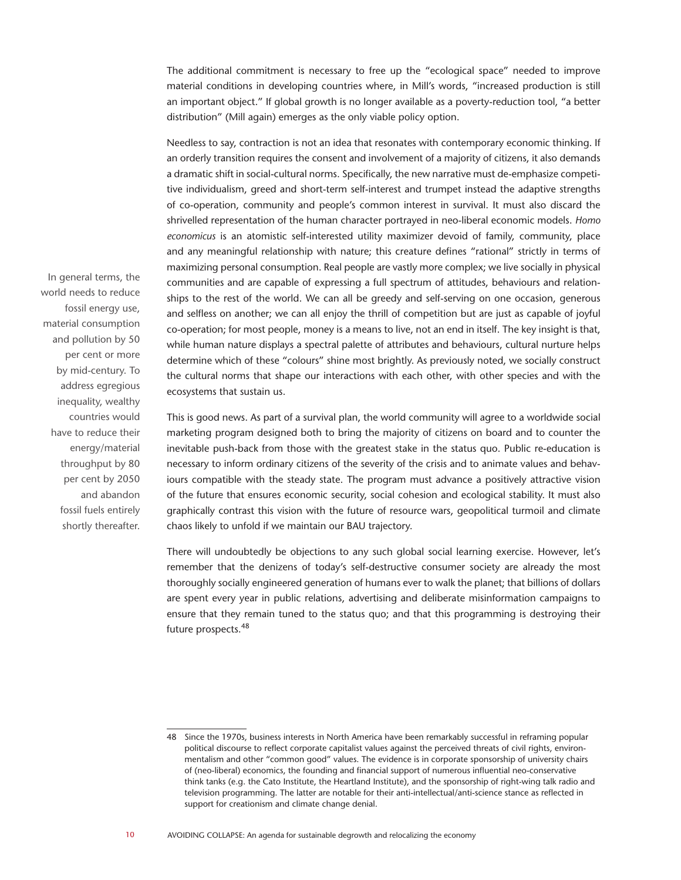The additional commitment is necessary to free up the "ecological space" needed to improve material conditions in developing countries where, in Mill's words, "increased production is still an important object." If global growth is no longer available as a poverty-reduction tool, "a better distribution" (Mill again) emerges as the only viable policy option.

Needless to say, contraction is not an idea that resonates with contemporary economic thinking. If an orderly transition requires the consent and involvement of a majority of citizens, it also demands a dramatic shift in social-cultural norms. Specifically, the new narrative must de-emphasize competitive individualism, greed and short-term self-interest and trumpet instead the adaptive strengths of co-operation, community and people's common interest in survival. It must also discard the shrivelled representation of the human character portrayed in neo-liberal economic models. *Homo economicus* is an atomistic self-interested utility maximizer devoid of family, community, place and any meaningful relationship with nature; this creature defines "rational" strictly in terms of maximizing personal consumption. Real people are vastly more complex; we live socially in physical communities and are capable of expressing a full spectrum of attitudes, behaviours and relationships to the rest of the world. We can all be greedy and self-serving on one occasion, generous and selfless on another; we can all enjoy the thrill of competition but are just as capable of joyful co-operation; for most people, money is a means to live, not an end in itself. The key insight is that, while human nature displays a spectral palette of attributes and behaviours, cultural nurture helps determine which of these "colours" shine most brightly. As previously noted, we socially construct the cultural norms that shape our interactions with each other, with other species and with the ecosystems that sustain us.

This is good news. As part of a survival plan, the world community will agree to a worldwide social marketing program designed both to bring the majority of citizens on board and to counter the inevitable push-back from those with the greatest stake in the status quo. Public re-education is necessary to inform ordinary citizens of the severity of the crisis and to animate values and behaviours compatible with the steady state. The program must advance a positively attractive vision of the future that ensures economic security, social cohesion and ecological stability. It must also graphically contrast this vision with the future of resource wars, geopolitical turmoil and climate chaos likely to unfold if we maintain our BAU trajectory.

There will undoubtedly be objections to any such global social learning exercise. However, let's remember that the denizens of today's self-destructive consumer society are already the most thoroughly socially engineered generation of humans ever to walk the planet; that billions of dollars are spent every year in public relations, advertising and deliberate misinformation campaigns to ensure that they remain tuned to the status quo; and that this programming is destroying their future prospects.<sup>48</sup>

In general terms, the world needs to reduce fossil energy use, material consumption and pollution by 50 per cent or more by mid-century. To address egregious inequality, wealthy countries would have to reduce their energy/material throughput by 80 per cent by 2050 and abandon fossil fuels entirely shortly thereafter.

<sup>48</sup> Since the 1970s, business interests in North America have been remarkably successful in reframing popular political discourse to reflect corporate capitalist values against the perceived threats of civil rights, environmentalism and other "common good" values. The evidence is in corporate sponsorship of university chairs of (neo-liberal) economics, the founding and financial support of numerous influential neo-conservative think tanks (e.g. the Cato Institute, the Heartland Institute), and the sponsorship of right-wing talk radio and television programming. The latter are notable for their anti-intellectual/anti-science stance as reflected in support for creationism and climate change denial.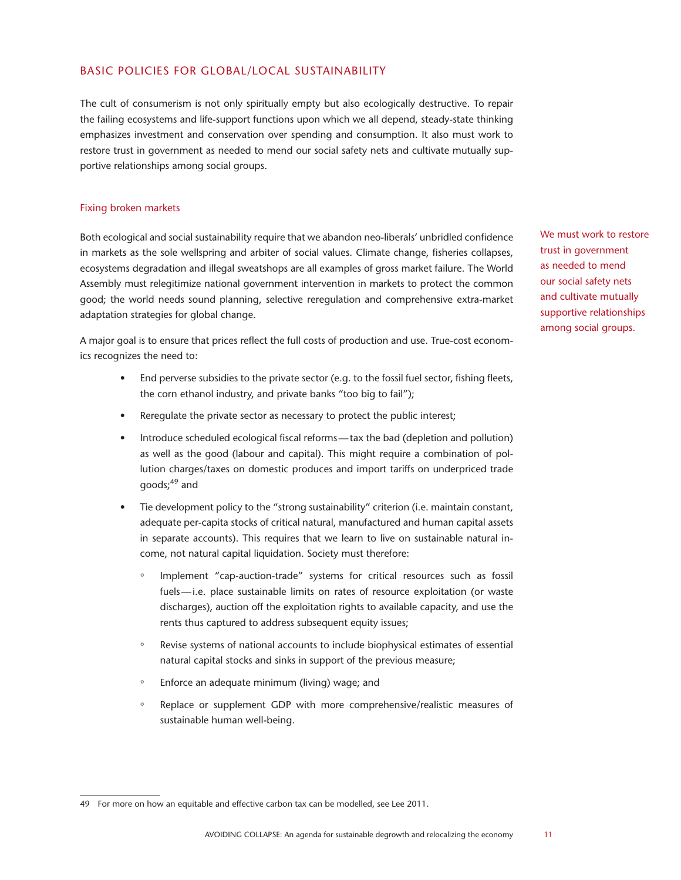# BASIC POLICIES FOR GLOBAL/LOCAL SUSTAINABILITY

The cult of consumerism is not only spiritually empty but also ecologically destructive. To repair the failing ecosystems and life-support functions upon which we all depend, steady-state thinking emphasizes investment and conservation over spending and consumption. It also must work to restore trust in government as needed to mend our social safety nets and cultivate mutually supportive relationships among social groups.

#### Fixing broken markets

Both ecological and social sustainability require that we abandon neo-liberals' unbridled confidence in markets as the sole wellspring and arbiter of social values. Climate change, fisheries collapses, ecosystems degradation and illegal sweatshops are all examples of gross market failure. The World Assembly must relegitimize national government intervention in markets to protect the common good; the world needs sound planning, selective reregulation and comprehensive extra-market adaptation strategies for global change.

A major goal is to ensure that prices reflect the full costs of production and use. True-cost economics recognizes the need to:

- End perverse subsidies to the private sector (e.g. to the fossil fuel sector, fishing fleets, the corn ethanol industry, and private banks "too big to fail");
- Reregulate the private sector as necessary to protect the public interest;
- Introduce scheduled ecological fiscal reforms—tax the bad (depletion and pollution) as well as the good (labour and capital). This might require a combination of pollution charges/taxes on domestic produces and import tariffs on underpriced trade  $q$ oods: $49$  and
- Tie development policy to the "strong sustainability" criterion (i.e. maintain constant, adequate per-capita stocks of critical natural, manufactured and human capital assets in separate accounts). This requires that we learn to live on sustainable natural income, not natural capital liquidation. Society must therefore:
	- Implement "cap-auction-trade" systems for critical resources such as fossil fuels—i.e. place sustainable limits on rates of resource exploitation (or waste discharges), auction off the exploitation rights to available capacity, and use the rents thus captured to address subsequent equity issues;
	- Revise systems of national accounts to include biophysical estimates of essential natural capital stocks and sinks in support of the previous measure;
	- Enforce an adequate minimum (living) wage; and
	- Replace or supplement GDP with more comprehensive/realistic measures of sustainable human well-being.

We must work to restore trust in government as needed to mend our social safety nets and cultivate mutually supportive relationships among social groups.

<sup>49</sup> For more on how an equitable and effective carbon tax can be modelled, see Lee 2011.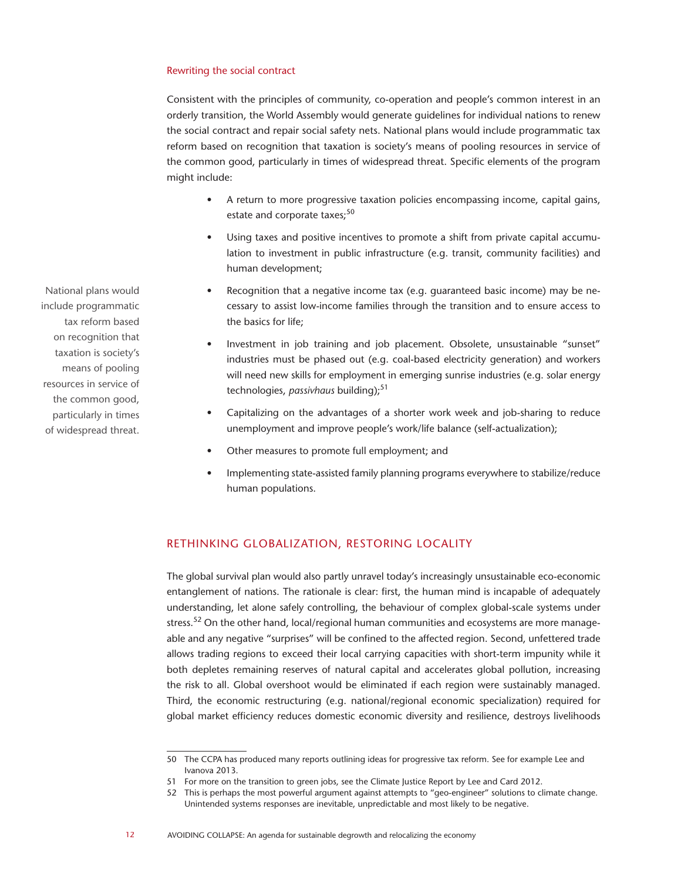#### Rewriting the social contract

Consistent with the principles of community, co-operation and people's common interest in an orderly transition, the World Assembly would generate guidelines for individual nations to renew the social contract and repair social safety nets. National plans would include programmatic tax reform based on recognition that taxation is society's means of pooling resources in service of the common good, particularly in times of widespread threat. Specific elements of the program might include:

- A return to more progressive taxation policies encompassing income, capital gains, estate and corporate taxes;<sup>50</sup>
- Using taxes and positive incentives to promote a shift from private capital accumulation to investment in public infrastructure (e.g. transit, community facilities) and human development;
- Recognition that a negative income tax (e.g. guaranteed basic income) may be necessary to assist low-income families through the transition and to ensure access to the basics for life;
- Investment in job training and job placement. Obsolete, unsustainable "sunset" industries must be phased out (e.g. coal-based electricity generation) and workers will need new skills for employment in emerging sunrise industries (e.g. solar energy technologies, *passivhaus* building);<sup>51</sup>
- Capitalizing on the advantages of a shorter work week and job-sharing to reduce unemployment and improve people's work/life balance (self-actualization);
- Other measures to promote full employment; and
- Implementing state-assisted family planning programs everywhere to stabilize/reduce human populations.

# RETHINKING GLOBALIZATION, RESTORING LOCALITY

The global survival plan would also partly unravel today's increasingly unsustainable eco-economic entanglement of nations. The rationale is clear: first, the human mind is incapable of adequately understanding, let alone safely controlling, the behaviour of complex global-scale systems under stress.<sup>52</sup> On the other hand, local/regional human communities and ecosystems are more manageable and any negative "surprises" will be confined to the affected region. Second, unfettered trade allows trading regions to exceed their local carrying capacities with short-term impunity while it both depletes remaining reserves of natural capital and accelerates global pollution, increasing the risk to all. Global overshoot would be eliminated if each region were sustainably managed. Third, the economic restructuring (e.g. national/regional economic specialization) required for global market efficiency reduces domestic economic diversity and resilience, destroys livelihoods

National plans would include programmatic tax reform based on recognition that taxation is society's means of pooling resources in service of the common good, particularly in times of widespread threat.

<sup>50</sup> The CCPA has produced many reports outlining ideas for progressive tax reform. See for example Lee and Ivanova 2013.

<sup>51</sup> For more on the transition to green jobs, see the Climate Justice Report by Lee and Card 2012.

<sup>52</sup> This is perhaps the most powerful argument against attempts to "geo-engineer" solutions to climate change. Unintended systems responses are inevitable, unpredictable and most likely to be negative.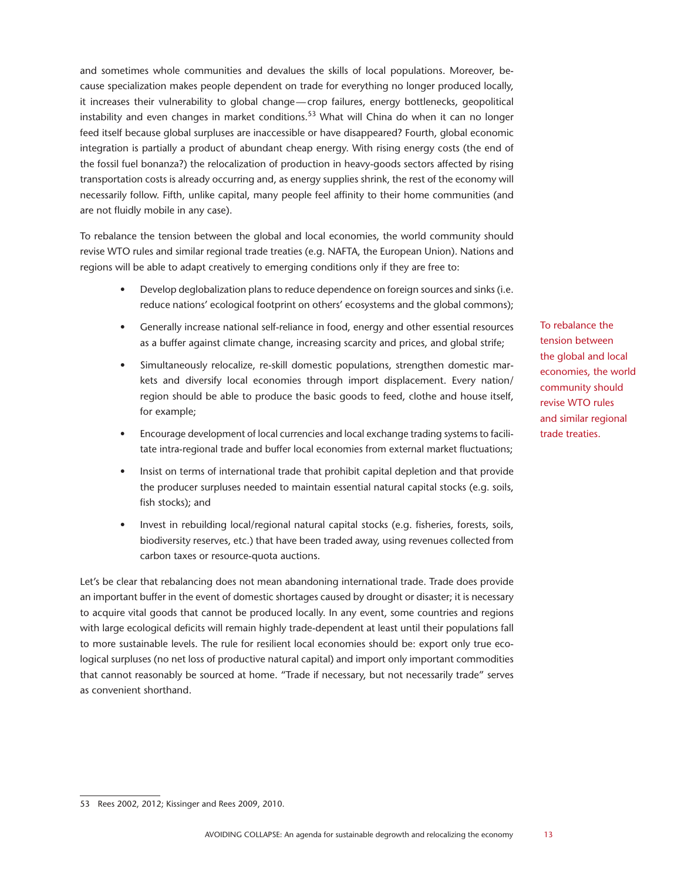and sometimes whole communities and devalues the skills of local populations. Moreover, because specialization makes people dependent on trade for everything no longer produced locally, it increases their vulnerability to global change—crop failures, energy bottlenecks, geopolitical instability and even changes in market conditions.<sup>53</sup> What will China do when it can no longer feed itself because global surpluses are inaccessible or have disappeared? Fourth, global economic integration is partially a product of abundant cheap energy. With rising energy costs (the end of the fossil fuel bonanza?) the relocalization of production in heavy-goods sectors affected by rising transportation costs is already occurring and, as energy supplies shrink, the rest of the economy will necessarily follow. Fifth, unlike capital, many people feel affinity to their home communities (and are not fluidly mobile in any case).

To rebalance the tension between the global and local economies, the world community should revise WTO rules and similar regional trade treaties (e.g. NAFTA, the European Union). Nations and regions will be able to adapt creatively to emerging conditions only if they are free to:

- Develop deglobalization plans to reduce dependence on foreign sources and sinks (i.e. reduce nations' ecological footprint on others' ecosystems and the global commons);
- Generally increase national self-reliance in food, energy and other essential resources as a buffer against climate change, increasing scarcity and prices, and global strife;
- • Simultaneously relocalize, re-skill domestic populations, strengthen domestic markets and diversify local economies through import displacement. Every nation/ region should be able to produce the basic goods to feed, clothe and house itself, for example;
- Encourage development of local currencies and local exchange trading systems to facilitate intra-regional trade and buffer local economies from external market fluctuations;
- Insist on terms of international trade that prohibit capital depletion and that provide the producer surpluses needed to maintain essential natural capital stocks (e.g. soils, fish stocks); and
- Invest in rebuilding local/regional natural capital stocks (e.g. fisheries, forests, soils, biodiversity reserves, etc.) that have been traded away, using revenues collected from carbon taxes or resource-quota auctions.

Let's be clear that rebalancing does not mean abandoning international trade. Trade does provide an important buffer in the event of domestic shortages caused by drought or disaster; it is necessary to acquire vital goods that cannot be produced locally. In any event, some countries and regions with large ecological deficits will remain highly trade-dependent at least until their populations fall to more sustainable levels. The rule for resilient local economies should be: export only true ecological surpluses (no net loss of productive natural capital) and import only important commodities that cannot reasonably be sourced at home. "Trade if necessary, but not necessarily trade" serves as convenient shorthand.

To rebalance the tension between the global and local economies, the world community should revise WTO rules and similar regional trade treaties.

<sup>53</sup> Rees 2002, 2012; Kissinger and Rees 2009, 2010.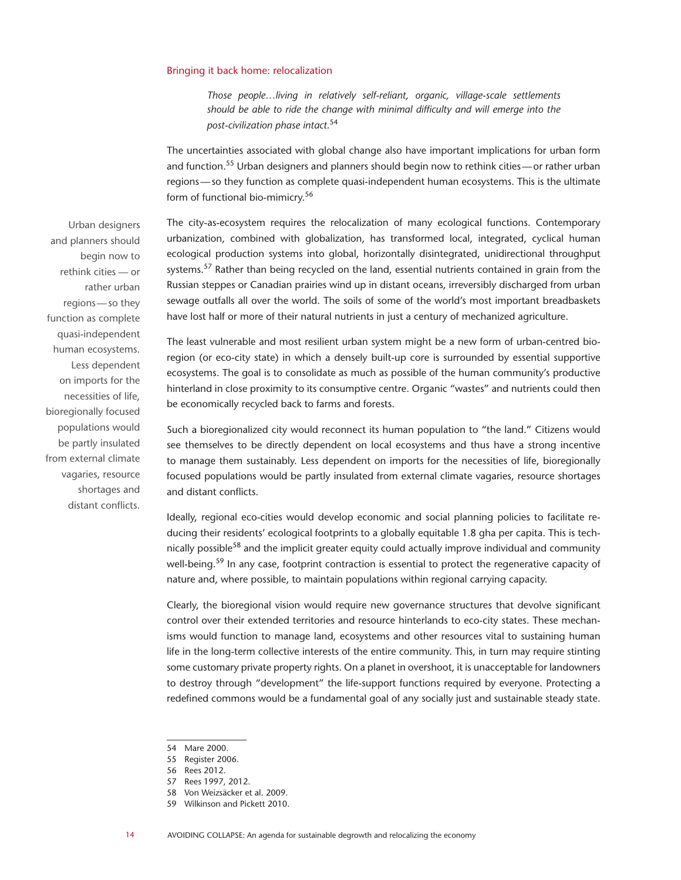#### Bringing it back home: relocalization

*Those people…living in relatively self-reliant, organic, village-scale settlements should be able to ride the change with minimal difficulty and will emerge into the post-civilization phase intact.*<sup>54</sup>

The uncertainties associated with global change also have important implications for urban form and function.55 Urban designers and planners should begin now to rethink cities—or rather urban regions—so they function as complete quasi-independent human ecosystems. This is the ultimate form of functional bio-mimicry.56

The city-as-ecosystem requires the relocalization of many ecological functions. Contemporary urbanization, combined with globalization, has transformed local, integrated, cyclical human ecological production systems into global, horizontally disintegrated, unidirectional throughput systems.<sup>57</sup> Rather than being recycled on the land, essential nutrients contained in grain from the Russian steppes or Canadian prairies wind up in distant oceans, irreversibly discharged from urban sewage outfalls all over the world. The soils of some of the world's most important breadbaskets have lost half or more of their natural nutrients in just a century of mechanized agriculture.

The least vulnerable and most resilient urban system might be a new form of urban-centred bioregion (or eco-city state) in which a densely built-up core is surrounded by essential supportive ecosystems. The goal is to consolidate as much as possible of the human community's productive hinterland in close proximity to its consumptive centre. Organic "wastes" and nutrients could then be economically recycled back to farms and forests.

Such a bioregionalized city would reconnect its human population to "the land." Citizens would see themselves to be directly dependent on local ecosystems and thus have a strong incentive to manage them sustainably. Less dependent on imports for the necessities of life, bioregionally focused populations would be partly insulated from external climate vagaries, resource shortages and distant conflicts.

Ideally, regional eco-cities would develop economic and social planning policies to facilitate reducing their residents' ecological footprints to a globally equitable 1.8 gha per capita. This is technically possible<sup>58</sup> and the implicit greater equity could actually improve individual and community well-being.<sup>59</sup> In any case, footprint contraction is essential to protect the regenerative capacity of nature and, where possible, to maintain populations within regional carrying capacity.

Clearly, the bioregional vision would require new governance structures that devolve significant control over their extended territories and resource hinterlands to eco-city states. These mechanisms would function to manage land, ecosystems and other resources vital to sustaining human life in the long-term collective interests of the entire community. This, in turn may require stinting some customary private property rights. On a planet in overshoot, it is unacceptable for landowners to destroy through "development" the life-support functions required by everyone. Protecting a redefined commons would be a fundamental goal of any socially just and sustainable steady state.

Urban designers and planners should begin now to rethink cities — or rather urban regions—so they function as complete quasi-independent human ecosystems. Less dependent on imports for the necessities of life, bioregionally focused populations would be partly insulated from external climate vagaries, resource shortages and distant conflicts.

<sup>54</sup> Mare 2000.

<sup>55</sup> Register 2006.

<sup>56</sup> Rees 2012.

<sup>57</sup> Rees 1997, 2012.

<sup>58</sup> Von Weizsäcker et al. 2009.

<sup>59</sup> Wilkinson and Pickett 2010.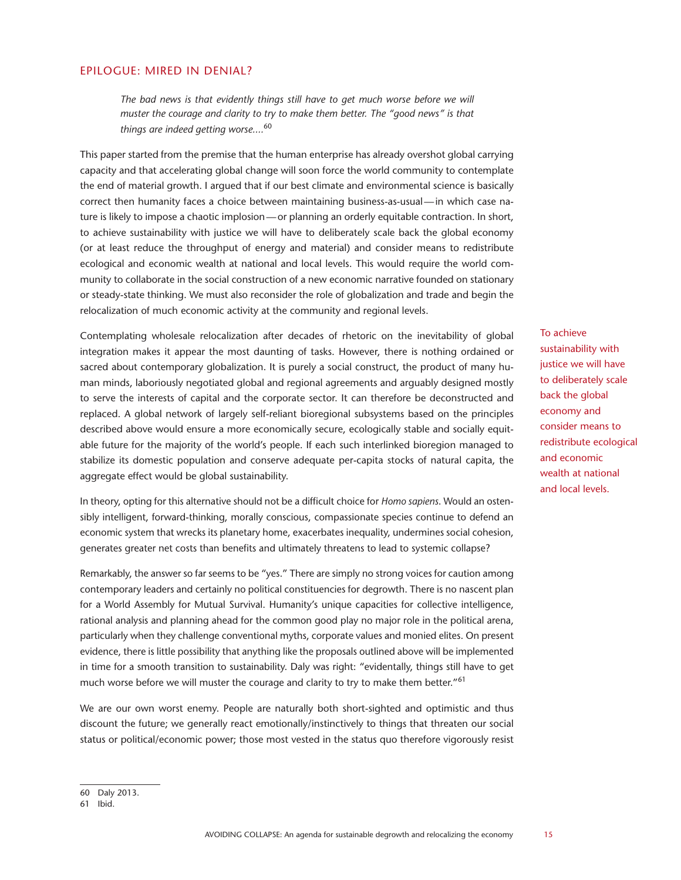#### EPILOGUE: MIRED IN DENIAL?

The bad news is that evidently things still have to get much worse before we will *muster the courage and clarity to try to make them better. The "good news" is that things are indeed getting worse....*<sup>60</sup>

This paper started from the premise that the human enterprise has already overshot global carrying capacity and that accelerating global change will soon force the world community to contemplate the end of material growth. I argued that if our best climate and environmental science is basically correct then humanity faces a choice between maintaining business-as-usual—in which case nature is likely to impose a chaotic implosion—or planning an orderly equitable contraction. In short, to achieve sustainability with justice we will have to deliberately scale back the global economy (or at least reduce the throughput of energy and material) and consider means to redistribute ecological and economic wealth at national and local levels. This would require the world community to collaborate in the social construction of a new economic narrative founded on stationary or steady-state thinking. We must also reconsider the role of globalization and trade and begin the relocalization of much economic activity at the community and regional levels.

Contemplating wholesale relocalization after decades of rhetoric on the inevitability of global integration makes it appear the most daunting of tasks. However, there is nothing ordained or sacred about contemporary globalization. It is purely a social construct, the product of many human minds, laboriously negotiated global and regional agreements and arguably designed mostly to serve the interests of capital and the corporate sector. It can therefore be deconstructed and replaced. A global network of largely self-reliant bioregional subsystems based on the principles described above would ensure a more economically secure, ecologically stable and socially equitable future for the majority of the world's people. If each such interlinked bioregion managed to stabilize its domestic population and conserve adequate per-capita stocks of natural capita, the aggregate effect would be global sustainability.

In theory, opting for this alternative should not be a difficult choice for *Homo sapiens*. Would an ostensibly intelligent, forward-thinking, morally conscious, compassionate species continue to defend an economic system that wrecks its planetary home, exacerbates inequality, undermines social cohesion, generates greater net costs than benefits and ultimately threatens to lead to systemic collapse?

Remarkably, the answer so far seems to be "yes." There are simply no strong voices for caution among contemporary leaders and certainly no political constituencies for degrowth. There is no nascent plan for a World Assembly for Mutual Survival. Humanity's unique capacities for collective intelligence, rational analysis and planning ahead for the common good play no major role in the political arena, particularly when they challenge conventional myths, corporate values and monied elites. On present evidence, there is little possibility that anything like the proposals outlined above will be implemented in time for a smooth transition to sustainability. Daly was right: "evidentally, things still have to get much worse before we will muster the courage and clarity to try to make them better."<sup>61</sup>

We are our own worst enemy. People are naturally both short-sighted and optimistic and thus discount the future; we generally react emotionally/instinctively to things that threaten our social status or political/economic power; those most vested in the status quo therefore vigorously resist sustainability with justice we will have to deliberately scale back the global economy and consider means to redistribute ecological and economic wealth at national and local levels.

To achieve

<sup>60</sup> Daly 2013.

<sup>61</sup> Ibid.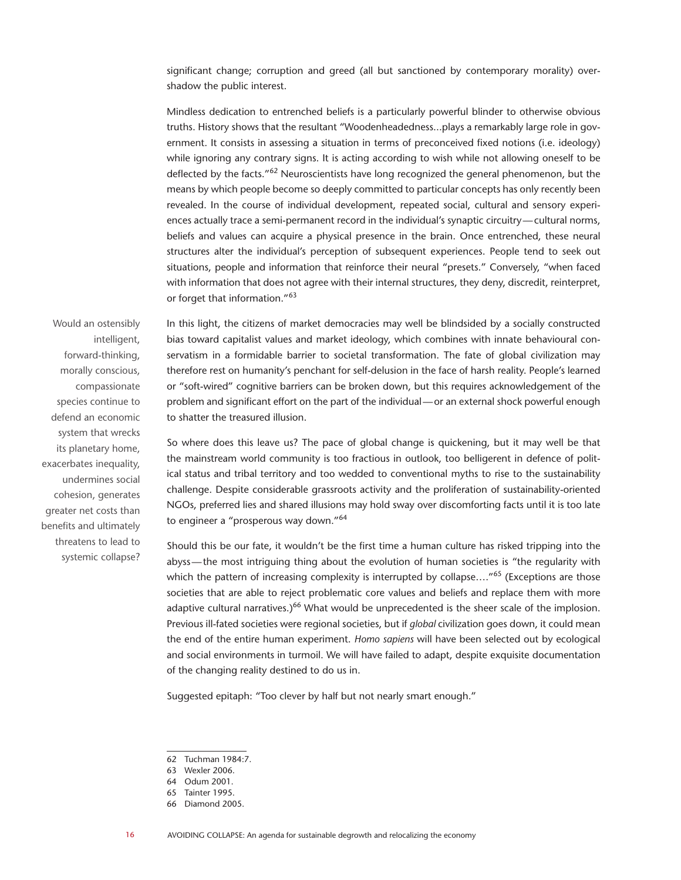significant change; corruption and greed (all but sanctioned by contemporary morality) overshadow the public interest.

Mindless dedication to entrenched beliefs is a particularly powerful blinder to otherwise obvious truths. History shows that the resultant "Woodenheadedness...plays a remarkably large role in government. It consists in assessing a situation in terms of preconceived fixed notions (i.e. ideology) while ignoring any contrary signs. It is acting according to wish while not allowing oneself to be deflected by the facts."<sup>62</sup> Neuroscientists have long recognized the general phenomenon, but the means by which people become so deeply committed to particular concepts has only recently been revealed. In the course of individual development, repeated social, cultural and sensory experiences actually trace a semi-permanent record in the individual's synaptic circuitry—cultural norms, beliefs and values can acquire a physical presence in the brain. Once entrenched, these neural structures alter the individual's perception of subsequent experiences. People tend to seek out situations, people and information that reinforce their neural "presets." Conversely, "when faced with information that does not agree with their internal structures, they deny, discredit, reinterpret, or forget that information."63

Would an ostensibly intelligent, forward-thinking, morally conscious, compassionate species continue to defend an economic system that wrecks its planetary home, exacerbates inequality, undermines social cohesion, generates greater net costs than benefits and ultimately threatens to lead to systemic collapse?

In this light, the citizens of market democracies may well be blindsided by a socially constructed bias toward capitalist values and market ideology, which combines with innate behavioural conservatism in a formidable barrier to societal transformation. The fate of global civilization may therefore rest on humanity's penchant for self-delusion in the face of harsh reality. People's learned or "soft-wired" cognitive barriers can be broken down, but this requires acknowledgement of the problem and significant effort on the part of the individual—or an external shock powerful enough to shatter the treasured illusion.

So where does this leave us? The pace of global change is quickening, but it may well be that the mainstream world community is too fractious in outlook, too belligerent in defence of political status and tribal territory and too wedded to conventional myths to rise to the sustainability challenge. Despite considerable grassroots activity and the proliferation of sustainability-oriented NGOs, preferred lies and shared illusions may hold sway over discomforting facts until it is too late to engineer a "prosperous way down."64

Should this be our fate, it wouldn't be the first time a human culture has risked tripping into the abyss—the most intriguing thing about the evolution of human societies is "the regularity with which the pattern of increasing complexity is interrupted by collapse...."<sup>65</sup> (Exceptions are those societies that are able to reject problematic core values and beliefs and replace them with more adaptive cultural narratives.) $66$  What would be unprecedented is the sheer scale of the implosion. Previous ill-fated societies were regional societies, but if *global* civilization goes down, it could mean the end of the entire human experiment. *Homo sapiens* will have been selected out by ecological and social environments in turmoil. We will have failed to adapt, despite exquisite documentation of the changing reality destined to do us in.

Suggested epitaph: "Too clever by half but not nearly smart enough."

<sup>62</sup> Tuchman 1984:7.

<sup>63</sup> Wexler 2006.

<sup>64</sup> Odum 2001.

<sup>65</sup> Tainter 1995.

<sup>66</sup> Diamond 2005.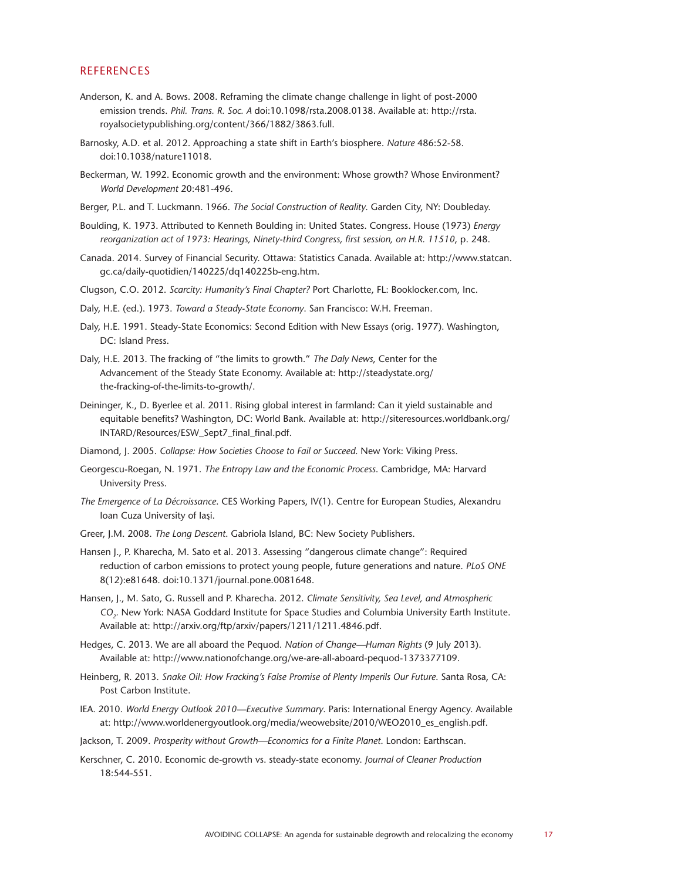#### **REFERENCES**

- Anderson, K. and A. Bows. 2008. Reframing the climate change challenge in light of post-2000 emission trends. *Phil. Trans. R. Soc. A* doi:10.1098/rsta.2008.0138. Available at: http://rsta. royalsocietypublishing.org/content/366/1882/3863.full.
- Barnosky, A.D. et al. 2012. Approaching a state shift in Earth's biosphere. *Nature* 486:52-58. doi:10.1038/nature11018.
- Beckerman, W. 1992. Economic growth and the environment: Whose growth? Whose Environment? *World Development* 20:481-496.
- Berger, P.L. and T. Luckmann. 1966. *The Social Construction of Reality*. Garden City, NY: Doubleday.
- Boulding, K. 1973. Attributed to Kenneth Boulding in: United States. Congress. House (1973) *Energy reorganization act of 1973: Hearings, Ninety-third Congress, first session, on H.R. 11510*, p. 248.
- Canada. 2014. Survey of Financial Security. Ottawa: Statistics Canada. Available at: http://www.statcan. gc.ca/daily-quotidien/140225/dq140225b-eng.htm.
- Clugson, C.O. 2012. *Scarcity: Humanity's Final Chapter?* Port Charlotte, FL: Booklocker.com, Inc.
- Daly, H.E. (ed.). 1973. *Toward a Steady-State Economy*. San Francisco: W.H. Freeman.
- Daly, H.E. 1991. Steady-State Economics: Second Edition with New Essays (orig. 1977). Washington, DC: Island Press.
- Daly, H.E. 2013. The fracking of "the limits to growth." *The Daly News*, Center for the Advancement of the Steady State Economy. Available at: http://steadystate.org/ the-fracking-of-the-limits-to-growth/.
- Deininger, K., D. Byerlee et al. 2011. Rising global interest in farmland: Can it yield sustainable and equitable benefits? Washington, DC: World Bank. Available at: http://siteresources.worldbank.org/ INTARD/Resources/ESW\_Sept7\_final\_final.pdf.
- Diamond, J. 2005. *Collapse: How Societies Choose to Fail or Succeed*. New York: Viking Press.
- Georgescu-Roegan, N. 1971. *The Entropy Law and the Economic Process*. Cambridge, MA: Harvard University Press.
- *The Emergence of La Décroissance*. CES Working Papers, IV(1). Centre for European Studies, Alexandru Ioan Cuza University of Iaşi.
- Greer, J.M. 2008. *The Long Descent*. Gabriola Island, BC: New Society Publishers.
- Hansen J., P. Kharecha, M. Sato et al. 2013. Assessing "dangerous climate change": Required reduction of carbon emissions to protect young people, future generations and nature. *PLoS ONE* 8(12):e81648. doi:10.1371/journal.pone.0081648.
- Hansen, J., M. Sato, G. Russell and P. Kharecha. 2012. *Climate Sensitivity, Sea Level, and Atmospheric CO2.* New York: NASA Goddard Institute for Space Studies and Columbia University Earth Institute. Available at: http://arxiv.org/ftp/arxiv/papers/1211/1211.4846.pdf.
- Hedges, C. 2013. We are all aboard the Pequod. *Nation of Change—Human Rights* (9 July 2013). Available at: http://www.nationofchange.org/we-are-all-aboard-pequod-1373377109.
- Heinberg, R. 2013. *Snake Oil: How Fracking's False Promise of Plenty Imperils Our Future*. Santa Rosa, CA: Post Carbon Institute.
- IEA. 2010. *World Energy Outlook 2010—Executive Summary*. Paris: International Energy Agency. Available at: http://www.worldenergyoutlook.org/media/weowebsite/2010/WEO2010\_es\_english.pdf.
- Jackson, T. 2009. *Prosperity without Growth—Economics for a Finite Planet*. London: Earthscan.
- Kerschner, C. 2010. Economic de-growth vs. steady-state economy. *Journal of Cleaner Production* 18:544-551.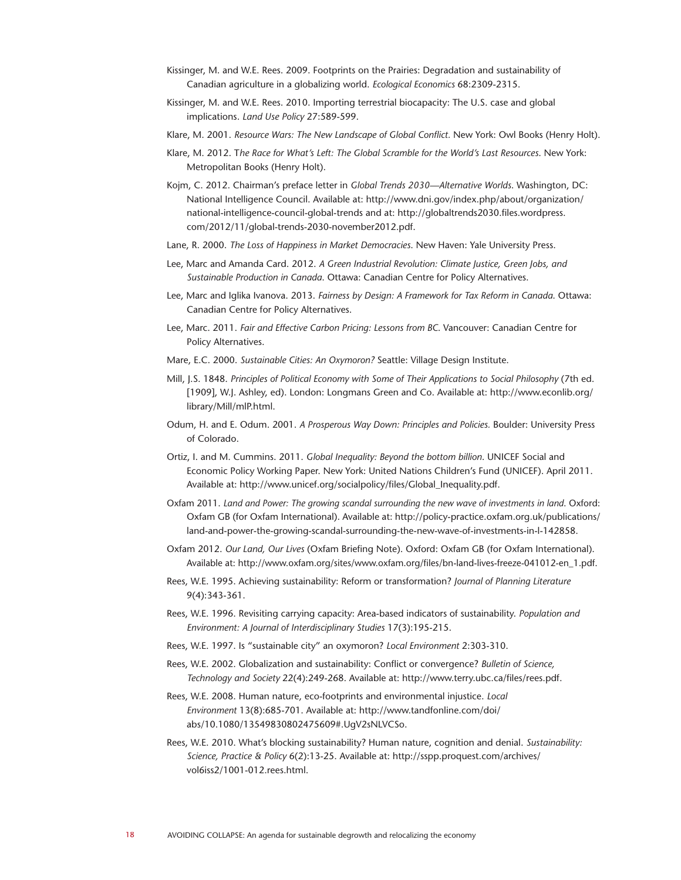- Kissinger, M. and W.E. Rees. 2009. Footprints on the Prairies: Degradation and sustainability of Canadian agriculture in a globalizing world. *Ecological Economics* 68:2309-2315.
- Kissinger, M. and W.E. Rees. 2010. Importing terrestrial biocapacity: The U.S. case and global implications. *Land Use Policy* 27:589-599.
- Klare, M. 2001. *Resource Wars: The New Landscape of Global Conflict.* New York: Owl Books (Henry Holt).
- Klare, M. 2012. T*he Race for What's Left: The Global Scramble for the World's Last Resources*. New York: Metropolitan Books (Henry Holt).
- Kojm, C. 2012. Chairman's preface letter in *Global Trends 2030—Alternative Worlds*. Washington, DC: National Intelligence Council. Available at: http://www.dni.gov/index.php/about/organization/ national-intelligence-council-global-trends and at: http://globaltrends2030.files.wordpress. com/2012/11/global-trends-2030-november2012.pdf.
- Lane, R. 2000. *The Loss of Happiness in Market Democracies*. New Haven: Yale University Press.
- Lee, Marc and Amanda Card. 2012. *A Green Industrial Revolution: Climate Justice, Green Jobs, and Sustainable Production in Canada*. Ottawa: Canadian Centre for Policy Alternatives.
- Lee, Marc and Iglika Ivanova. 2013. *Fairness by Design: A Framework for Tax Reform in Canada*. Ottawa: Canadian Centre for Policy Alternatives.
- Lee, Marc. 2011. *Fair and Effective Carbon Pricing: Lessons from BC*. Vancouver: Canadian Centre for Policy Alternatives.
- Mare, E.C. 2000. *Sustainable Cities: An Oxymoron?* Seattle: Village Design Institute.
- Mill, J.S. 1848. *Principles of Political Economy with Some of Their Applications to Social Philosophy* (7th ed. [1909], W.J. Ashley, ed). London: Longmans Green and Co. Available at: http://www.econlib.org/ library/Mill/mlP.html.
- Odum, H. and E. Odum. 2001. *A Prosperous Way Down: Principles and Policies.* Boulder: University Press of Colorado.
- Ortiz, I. and M. Cummins. 2011. *Global Inequality: Beyond the bottom billion*. UNICEF Social and Economic Policy Working Paper. New York: United Nations Children's Fund (UNICEF). April 2011. Available at: http://www.unicef.org/socialpolicy/files/Global\_Inequality.pdf.
- Oxfam 2011. *Land and Power: The growing scandal surrounding the new wave of investments in land*. Oxford: Oxfam GB (for Oxfam International). Available at: http://policy-practice.oxfam.org.uk/publications/ land-and-power-the-growing-scandal-surrounding-the-new-wave-of-investments-in-l-142858.
- Oxfam 2012. *Our Land, Our Lives* (Oxfam Briefing Note). Oxford: Oxfam GB (for Oxfam International). Available at: http://www.oxfam.org/sites/www.oxfam.org/files/bn-land-lives-freeze-041012-en\_1.pdf.
- Rees, W.E. 1995. Achieving sustainability: Reform or transformation? *Journal of Planning Literature* 9(4):343-361.
- Rees, W.E. 1996. Revisiting carrying capacity: Area-based indicators of sustainability. *Population and Environment: A Journal of Interdisciplinary Studies* 17(3):195-215.
- Rees, W.E. 1997. Is "sustainable city" an oxymoron? *Local Environment* 2:303-310.
- Rees, W.E. 2002. Globalization and sustainability: Conflict or convergence? *Bulletin of Science, Technology and Society* 22(4):249-268. Available at: http://www.terry.ubc.ca/files/rees.pdf.
- Rees, W.E. 2008. Human nature, eco-footprints and environmental injustice. *Local Environment* 13(8):685-701. Available at: http://www.tandfonline.com/doi/ abs/10.1080/13549830802475609#.UgV2sNLVCSo.
- Rees, W.E. 2010. What's blocking sustainability? Human nature, cognition and denial. *Sustainability: Science, Practice & Policy* 6(2):13-25. Available at: http://sspp.proquest.com/archives/ vol6iss2/1001-012.rees.html.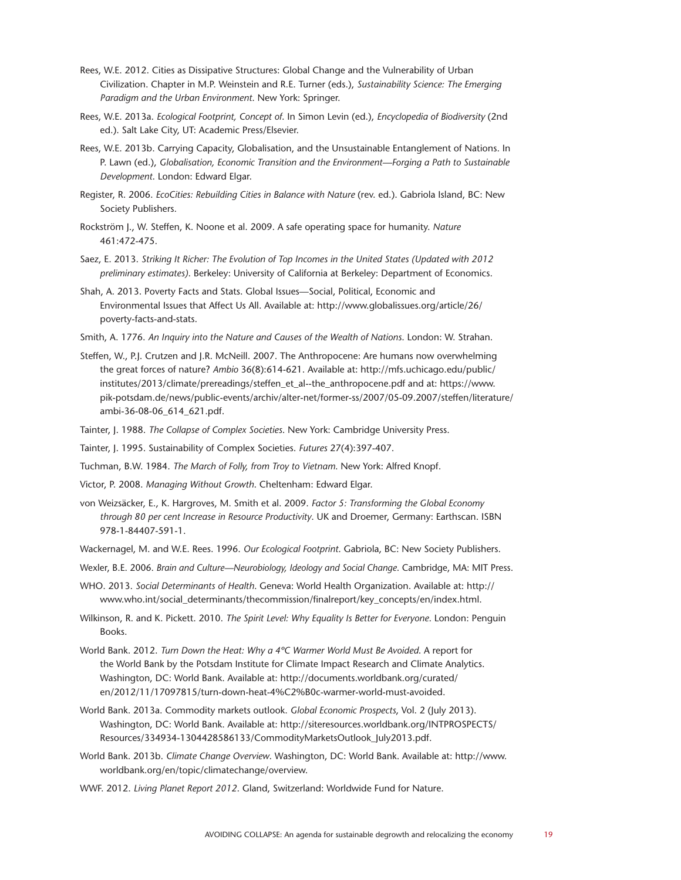- Rees, W.E. 2012. Cities as Dissipative Structures: Global Change and the Vulnerability of Urban Civilization. Chapter in M.P. Weinstein and R.E. Turner (eds.), *Sustainability Science: The Emerging Paradigm and the Urban Environment*. New York: Springer.
- Rees, W.E. 2013a. *Ecological Footprint, Concept of*. In Simon Levin (ed.), *Encyclopedia of Biodiversity* (2nd ed.). Salt Lake City, UT: Academic Press/Elsevier.
- Rees, W.E. 2013b. Carrying Capacity, Globalisation, and the Unsustainable Entanglement of Nations. In P. Lawn (ed.), *Globalisation, Economic Transition and the Environment—Forging a Path to Sustainable Development*. London: Edward Elgar.
- Register, R. 2006. *EcoCities: Rebuilding Cities in Balance with Nature* (rev. ed.). Gabriola Island, BC: New Society Publishers.
- Rockström J., W. Steffen, K. Noone et al. 2009. A safe operating space for humanity. *Nature* 461:472-475.
- Saez, E. 2013. *Striking It Richer: The Evolution of Top Incomes in the United States (Updated with 2012 preliminary estimates)*. Berkeley: University of California at Berkeley: Department of Economics.
- Shah, A. 2013. Poverty Facts and Stats. Global Issues—Social, Political, Economic and Environmental Issues that Affect Us All. Available at: http://www.globalissues.org/article/26/ poverty-facts-and-stats.
- Smith, A. 1776. *An Inquiry into the Nature and Causes of the Wealth of Nations*. London: W. Strahan.
- Steffen, W., P.J. Crutzen and J.R. McNeill. 2007. The Anthropocene: Are humans now overwhelming the great forces of nature? *Ambio* 36(8):614-621. Available at: http://mfs.uchicago.edu/public/ institutes/2013/climate/prereadings/steffen\_et\_al--the\_anthropocene.pdf and at: https://www. pik-potsdam.de/news/public-events/archiv/alter-net/former-ss/2007/05-09.2007/steffen/literature/ ambi-36-08-06\_614\_621.pdf.
- Tainter, J. 1988. *The Collapse of Complex Societies*. New York: Cambridge University Press.
- Tainter, J. 1995. Sustainability of Complex Societies. *Futures* 27(4):397-407.
- Tuchman, B.W. 1984. *The March of Folly, from Troy to Vietnam*. New York: Alfred Knopf.
- Victor, P. 2008. *Managing Without Growth*. Cheltenham: Edward Elgar.
- von Weizsäcker, E., K. Hargroves, M. Smith et al. 2009. *Factor 5: Transforming the Global Economy through 80 per cent Increase in Resource Productivity*. UK and Droemer, Germany: Earthscan. ISBN 978-1-84407-591-1.
- Wackernagel, M. and W.E. Rees. 1996. *Our Ecological Footprint*. Gabriola, BC: New Society Publishers.
- Wexler, B.E. 2006. *Brain and Culture—Neurobiology, Ideology and Social Change*. Cambridge, MA: MIT Press.
- WHO. 2013. *Social Determinants of Health*. Geneva: World Health Organization. Available at: http:// www.who.int/social\_determinants/thecommission/finalreport/key\_concepts/en/index.html.
- Wilkinson, R. and K. Pickett. 2010. *The Spirit Level: Why Equality Is Better for Everyone*. London: Penguin **Books**
- World Bank. 2012. *Turn Down the Heat: Why a 4ºC Warmer World Must Be Avoided*. A report for the World Bank by the Potsdam Institute for Climate Impact Research and Climate Analytics. Washington, DC: World Bank. Available at: http://documents.worldbank.org/curated/ en/2012/11/17097815/turn-down-heat-4%C2%B0c-warmer-world-must-avoided.
- World Bank. 2013a. Commodity markets outlook. *Global Economic Prospects*, Vol. 2 (July 2013). Washington, DC: World Bank. Available at: http://siteresources.worldbank.org/INTPROSPECTS/ Resources/334934-1304428586133/CommodityMarketsOutlook\_July2013.pdf.
- World Bank. 2013b. *Climate Change Overview*. Washington, DC: World Bank. Available at: http://www. worldbank.org/en/topic/climatechange/overview.

WWF. 2012. *Living Planet Report 2012*. Gland, Switzerland: Worldwide Fund for Nature.